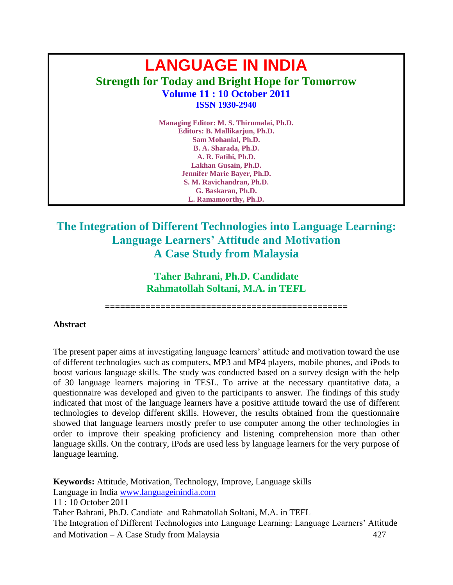# **LANGUAGE IN INDIA Strength for Today and Bright Hope for Tomorrow Volume 11 : 10 October 2011 ISSN 1930-2940**

**Managing Editor: M. S. Thirumalai, Ph.D. Editors: B. Mallikarjun, Ph.D. Sam Mohanlal, Ph.D. B. A. Sharada, Ph.D. A. R. Fatihi, Ph.D. Lakhan Gusain, Ph.D. Jennifer Marie Bayer, Ph.D. S. M. Ravichandran, Ph.D. G. Baskaran, Ph.D. L. Ramamoorthy, Ph.D.**

## **The Integration of Different Technologies into Language Learning: Language Learners' Attitude and Motivation A Case Study from Malaysia**

**Taher Bahrani, Ph.D. Candidate Rahmatollah Soltani, M.A. in TEFL** 

**================================================**

#### **Abstract**

The present paper aims at investigating language learners' attitude and motivation toward the use of different technologies such as computers, MP3 and MP4 players, mobile phones, and iPods to boost various language skills. The study was conducted based on a survey design with the help of 30 language learners majoring in TESL. To arrive at the necessary quantitative data, a questionnaire was developed and given to the participants to answer. The findings of this study indicated that most of the language learners have a positive attitude toward the use of different technologies to develop different skills. However, the results obtained from the questionnaire showed that language learners mostly prefer to use computer among the other technologies in order to improve their speaking proficiency and listening comprehension more than other language skills. On the contrary, iPods are used less by language learners for the very purpose of language learning.

Language in India [www.languageinindia.com](http://www.languageinindia.com/) 11 : 10 October 2011 Taher Bahrani, Ph.D. Candiate and Rahmatollah Soltani, M.A. in TEFL The Integration of Different Technologies into Language Learning: Language Learners' Attitude and Motivation – A Case Study from Malaysia 427 **Keywords:** Attitude, Motivation, Technology, Improve, Language skills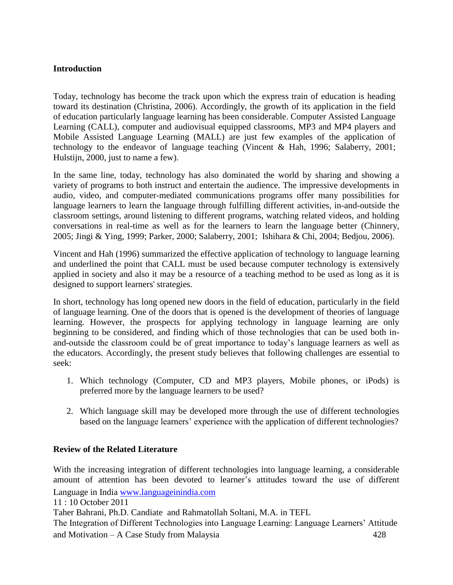#### **Introduction**

Today, technology has become the track upon which the express train of education is heading toward its destination (Christina, 2006). Accordingly, the growth of its application in the field of education particularly language learning has been considerable. Computer Assisted Language Learning (CALL), computer and audiovisual equipped classrooms, MP3 and MP4 players and Mobile Assisted Language Learning (MALL) are just few examples of the application of technology to the endeavor of language teaching (Vincent & Hah, 1996; Salaberry, 2001; Hulstijn, 2000, just to name a few).

In the same line, today, technology has also dominated the world by sharing and showing a variety of programs to both instruct and entertain the audience. The impressive developments in audio, video, and computer-mediated communications programs offer many possibilities for language learners to learn the language through fulfilling different activities, in-and-outside the classroom settings, around listening to different programs, watching related videos, and holding conversations in real-time as well as for the learners to learn the language better (Chinnery, 2005; Jingi & Ying, 1999; Parker, 2000; Salaberry, 2001; Ishihara & Chi, 2004; Bedjou, 2006).

Vincent and Hah (1996) summarized the effective application of technology to language learning and underlined the point that CALL must be used because computer technology is extensively applied in society and also it may be a resource of a teaching method to be used as long as it is designed to support learners' strategies.

In short, technology has long opened new doors in the field of education, particularly in the field of language learning. One of the doors that is opened is the development of theories of language learning. However, the prospects for applying technology in language learning are only beginning to be considered, and finding which of those technologies that can be used both inand-outside the classroom could be of great importance to today's language learners as well as the educators. Accordingly, the present study believes that following challenges are essential to seek:

- 1. Which technology (Computer, CD and MP3 players, Mobile phones, or iPods) is preferred more by the language learners to be used?
- 2. Which language skill may be developed more through the use of different technologies based on the language learners' experience with the application of different technologies?

#### **Review of the Related Literature**

Language in India [www.languageinindia.com](http://www.languageinindia.com/) With the increasing integration of different technologies into language learning, a considerable amount of attention has been devoted to learner's attitudes toward the use of different

11 : 10 October 2011

Taher Bahrani, Ph.D. Candiate and Rahmatollah Soltani, M.A. in TEFL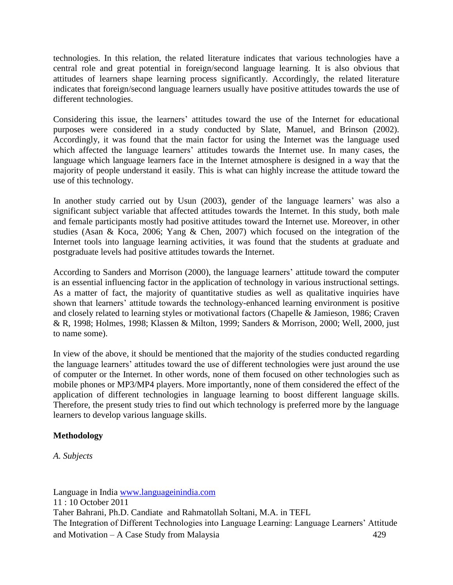technologies. In this relation, the related literature indicates that various technologies have a central role and great potential in foreign/second language learning. It is also obvious that attitudes of learners shape learning process significantly. Accordingly, the related literature indicates that foreign/second language learners usually have positive attitudes towards the use of different technologies.

Considering this issue, the learners' attitudes toward the use of the Internet for educational purposes were considered in a study conducted by Slate, Manuel, and Brinson (2002). Accordingly, it was found that the main factor for using the Internet was the language used which affected the language learners' attitudes towards the Internet use. In many cases, the language which language learners face in the Internet atmosphere is designed in a way that the majority of people understand it easily. This is what can highly increase the attitude toward the use of this technology.

In another study carried out by Usun (2003), gender of the language learners' was also a significant subject variable that affected attitudes towards the Internet. In this study, both male and female participants mostly had positive attitudes toward the Internet use. Moreover, in other studies (Asan & Koca, 2006; Yang & Chen, 2007) which focused on the integration of the Internet tools into language learning activities, it was found that the students at graduate and postgraduate levels had positive attitudes towards the Internet.

According to Sanders and Morrison (2000), the language learners' attitude toward the computer is an essential influencing factor in the application of technology in various instructional settings. As a matter of fact, the majority of quantitative studies as well as qualitative inquiries have shown that learners' attitude towards the technology-enhanced learning environment is positive and closely related to learning styles or motivational factors (Chapelle & Jamieson, 1986; Craven & R, 1998; Holmes, 1998; Klassen & Milton, 1999; Sanders & Morrison, 2000; Well, 2000, just to name some).

In view of the above, it should be mentioned that the majority of the studies conducted regarding the language learners' attitudes toward the use of different technologies were just around the use of computer or the Internet. In other words, none of them focused on other technologies such as mobile phones or MP3/MP4 players. More importantly, none of them considered the effect of the application of different technologies in language learning to boost different language skills. Therefore, the present study tries to find out which technology is preferred more by the language learners to develop various language skills.

### **Methodology**

*A. Subjects*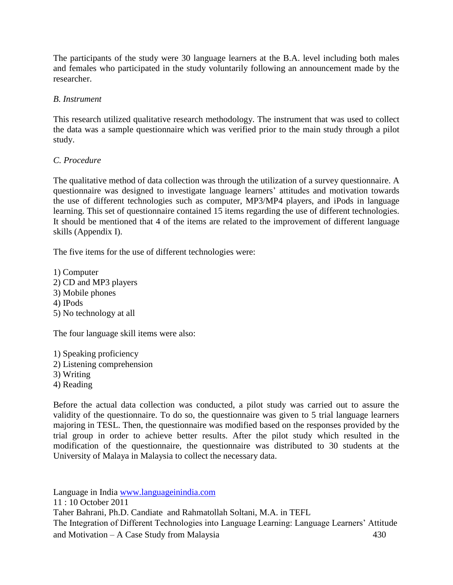The participants of the study were 30 language learners at the B.A. level including both males and females who participated in the study voluntarily following an announcement made by the researcher.

#### *B. Instrument*

This research utilized qualitative research methodology. The instrument that was used to collect the data was a sample questionnaire which was verified prior to the main study through a pilot study.

#### *C. Procedure*

The qualitative method of data collection was through the utilization of a survey questionnaire. A questionnaire was designed to investigate language learners' attitudes and motivation towards the use of different technologies such as computer, MP3/MP4 players, and iPods in language learning. This set of questionnaire contained 15 items regarding the use of different technologies. It should be mentioned that 4 of the items are related to the improvement of different language skills (Appendix I).

The five items for the use of different technologies were:

1) Computer 2) CD and MP3 players 3) Mobile phones 4) IPods 5) No technology at all

The four language skill items were also:

1) Speaking proficiency 2) Listening comprehension 3) Writing 4) Reading

Before the actual data collection was conducted, a pilot study was carried out to assure the validity of the questionnaire. To do so, the questionnaire was given to 5 trial language learners majoring in TESL. Then, the questionnaire was modified based on the responses provided by the trial group in order to achieve better results. After the pilot study which resulted in the modification of the questionnaire, the questionnaire was distributed to 30 students at the University of Malaya in Malaysia to collect the necessary data.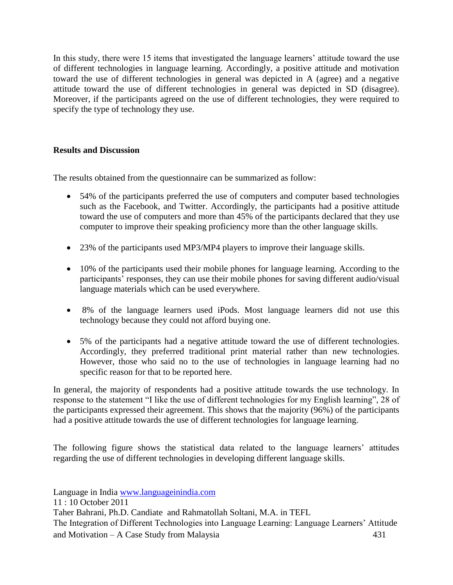In this study, there were 15 items that investigated the language learners' attitude toward the use of different technologies in language learning. Accordingly, a positive attitude and motivation toward the use of different technologies in general was depicted in A (agree) and a negative attitude toward the use of different technologies in general was depicted in SD (disagree). Moreover, if the participants agreed on the use of different technologies, they were required to specify the type of technology they use.

#### **Results and Discussion**

The results obtained from the questionnaire can be summarized as follow:

- 54% of the participants preferred the use of computers and computer based technologies such as the Facebook, and Twitter. Accordingly, the participants had a positive attitude toward the use of computers and more than 45% of the participants declared that they use computer to improve their speaking proficiency more than the other language skills.
- 23% of the participants used MP3/MP4 players to improve their language skills.
- 10% of the participants used their mobile phones for language learning. According to the participants' responses, they can use their mobile phones for saving different audio/visual language materials which can be used everywhere.
- 8% of the language learners used iPods. Most language learners did not use this technology because they could not afford buying one.
- 5% of the participants had a negative attitude toward the use of different technologies. Accordingly, they preferred traditional print material rather than new technologies. However, those who said no to the use of technologies in language learning had no specific reason for that to be reported here.

In general, the majority of respondents had a positive attitude towards the use technology. In response to the statement "I like the use of different technologies for my English learning", 28 of the participants expressed their agreement. This shows that the majority (96%) of the participants had a positive attitude towards the use of different technologies for language learning.

The following figure shows the statistical data related to the language learners' attitudes regarding the use of different technologies in developing different language skills.

Language in India [www.languageinindia.com](http://www.languageinindia.com/) 11 : 10 October 2011

Taher Bahrani, Ph.D. Candiate and Rahmatollah Soltani, M.A. in TEFL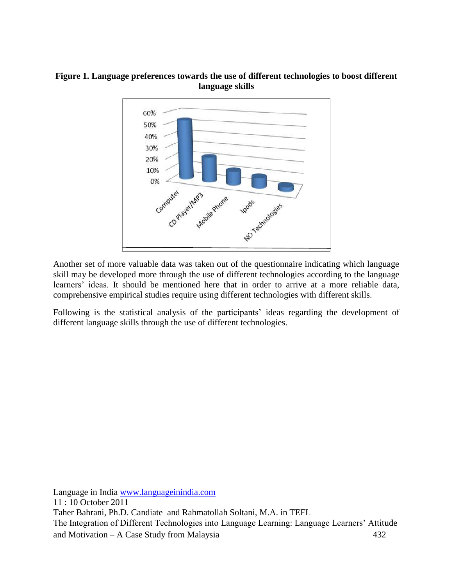#### **Figure 1. Language preferences towards the use of different technologies to boost different language skills**



Another set of more valuable data was taken out of the questionnaire indicating which language skill may be developed more through the use of different technologies according to the language learners' ideas. It should be mentioned here that in order to arrive at a more reliable data, comprehensive empirical studies require using different technologies with different skills.

Following is the statistical analysis of the participants' ideas regarding the development of different language skills through the use of different technologies.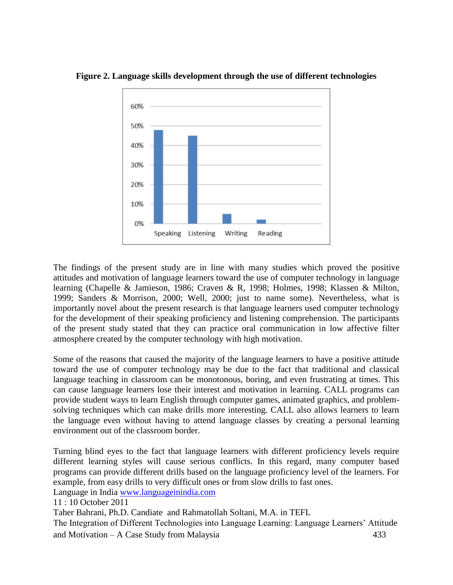

**Figure 2. Language skills development through the use of different technologies** 

The findings of the present study are in line with many studies which proved the positive attitudes and motivation of language learners toward the use of computer technology in language learning (Chapelle & Jamieson, 1986; Craven & R, 1998; Holmes, 1998; Klassen & Milton, 1999; Sanders & Morrison, 2000; Well, 2000; just to name some). Nevertheless, what is importantly novel about the present research is that language learners used computer technology for the development of their speaking proficiency and listening comprehension. The participants of the present study stated that they can practice oral communication in low affective filter atmosphere created by the computer technology with high motivation.

Some of the reasons that caused the majority of the language learners to have a positive attitude toward the use of computer technology may be due to the fact that traditional and classical language teaching in classroom can be monotonous, boring, and even frustrating at times. This can cause language learners lose their interest and motivation in learning. CALL programs can provide student ways to learn English through computer games, animated graphics, and problemsolving techniques which can make drills more interesting. CALL also allows learners to learn the language even without having to attend language classes by creating a personal learning environment out of the classroom border.

Language in India [www.languageinindia.com](http://www.languageinindia.com/) 11 : 10 October 2011 Taher Bahrani, Ph.D. Candiate and Rahmatollah Soltani, M.A. in TEFL The Integration of Different Technologies into Language Learning: Language Learners' Attitude and Motivation – A Case Study from Malaysia 433 Turning blind eyes to the fact that language learners with different proficiency levels require different learning styles will cause serious conflicts. In this regard, many computer based programs can provide different drills based on the language proficiency level of the learners. For example, from easy drills to very difficult ones or from slow drills to fast ones.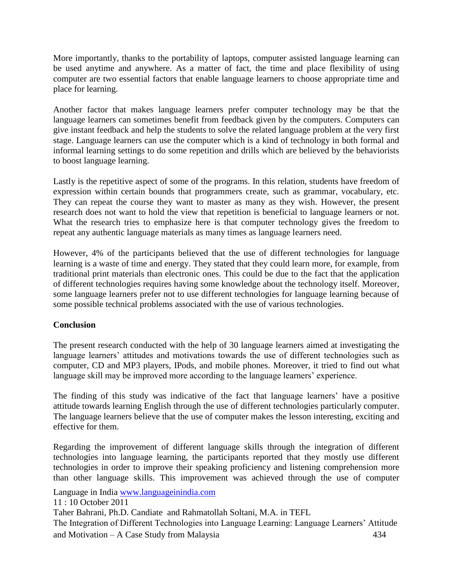More importantly, thanks to the portability of laptops, computer assisted language learning can be used anytime and anywhere. As a matter of fact, the time and place flexibility of using computer are two essential factors that enable language learners to choose appropriate time and place for learning.

Another factor that makes language learners prefer computer technology may be that the language learners can sometimes benefit from feedback given by the computers. Computers can give instant feedback and help the students to solve the related language problem at the very first stage. Language learners can use the computer which is a kind of technology in both formal and informal learning settings to do some repetition and drills which are believed by the behaviorists to boost language learning.

Lastly is the repetitive aspect of some of the programs. In this relation, students have freedom of expression within certain bounds that programmers create, such as grammar, vocabulary, etc. They can repeat the course they want to master as many as they wish. However, the present research does not want to hold the view that repetition is beneficial to language learners or not. What the research tries to emphasize here is that computer technology gives the freedom to repeat any authentic language materials as many times as language learners need.

However, 4% of the participants believed that the use of different technologies for language learning is a waste of time and energy. They stated that they could learn more, for example, from traditional print materials than electronic ones. This could be due to the fact that the application of different technologies requires having some knowledge about the technology itself. Moreover, some language learners prefer not to use different technologies for language learning because of some possible technical problems associated with the use of various technologies.

#### **Conclusion**

The present research conducted with the help of 30 language learners aimed at investigating the language learners' attitudes and motivations towards the use of different technologies such as computer, CD and MP3 players, IPods, and mobile phones. Moreover, it tried to find out what language skill may be improved more according to the language learners' experience.

The finding of this study was indicative of the fact that language learners' have a positive attitude towards learning English through the use of different technologies particularly computer. The language learners believe that the use of computer makes the lesson interesting, exciting and effective for them.

Regarding the improvement of different language skills through the integration of different technologies into language learning, the participants reported that they mostly use different technologies in order to improve their speaking proficiency and listening comprehension more than other language skills. This improvement was achieved through the use of computer

Language in India [www.languageinindia.com](http://www.languageinindia.com/)

11 : 10 October 2011

Taher Bahrani, Ph.D. Candiate and Rahmatollah Soltani, M.A. in TEFL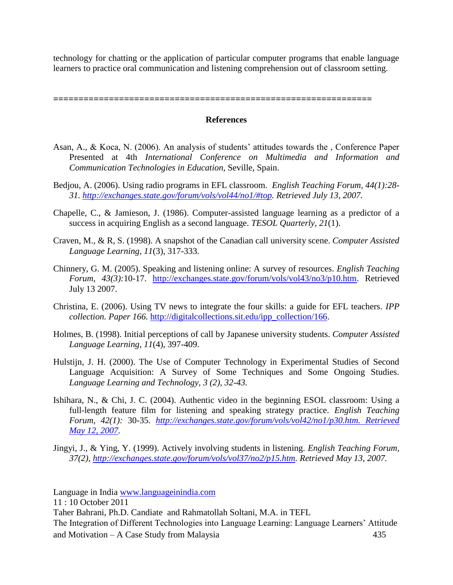technology for chatting or the application of particular computer programs that enable language learners to practice oral communication and listening comprehension out of classroom setting.

**===============================================================**

#### **References**

- Asan, A., & Koca, N. (2006). An analysis of students' attitudes towards the , Conference Paper Presented at 4th *International Conference on Multimedia and Information and Communication Technologies in Education*, Seville, Spain.
- Bedjou, A. (2006). Using radio programs in EFL classroom. *English Teaching Forum, 44(1):28- 31. [http://exchanges.state.gov/forum/vols/vol44/no1/#top.](http://exchanges.state.gov/forum/vols/vol44/no1/#top) Retrieved July 13, 2007.*
- Chapelle, C., & Jamieson, J. (1986). Computer-assisted language learning as a predictor of a success in acquiring English as a second language. *TESOL Quarterly, 21*(1).
- Craven, M., & R, S. (1998). A snapshot of the Canadian call university scene. *Computer Assisted Language Learning, 11*(3), 317-333.
- Chinnery, G. M. (2005). Speaking and listening online: A survey of resources. *English Teaching Forum, 43(3):*10-17. [http://exchanges.state.gov/forum/vols/vol43/no3/p10.htm.](http://exchanges.state.gov/forum/vols/vol43/no3/p10.htm) Retrieved July 13 2007.
- Christina, E. (2006). Using TV news to integrate the four skills: a guide for EFL teachers. *IPP collection. Paper 166.* [http://digitalcollections.sit.edu/ipp\\_collection/166.](http://digitalcollections.sit.edu/ipp_collection/166)
- Holmes, B. (1998). Initial perceptions of call by Japanese university students. *Computer Assisted Language Learning, 11*(4), 397-409.
- Hulstijn, J. H. (2000). The Use of Computer Technology in Experimental Studies of Second Language Acquisition: A Survey of Some Techniques and Some Ongoing Studies. *Language Learning and Technology, 3 (2), 32-43.*
- Ishihara, N., & Chi, J. C. (2004). Authentic video in the beginning ESOL classroom: Using a full-length feature film for listening and speaking strategy practice. *English Teaching Forum, 42(1):* 30-35*. [http://exchanges.state.gov/forum/vols/vol42/no1/p30.htm. Retrieved](http://exchanges.state.gov/forum/vols/vol42/no1/p30.htm.%20Retrieved%20May%2012,%202007)  [May 12, 2007.](http://exchanges.state.gov/forum/vols/vol42/no1/p30.htm.%20Retrieved%20May%2012,%202007)*
- Jingyi, J., & Ying, Y. (1999). Actively involving students in listening. *English Teaching Forum, 37(2), [http://exchanges.state.gov/forum/vols/vol37/no2/p15.htm.](http://exchanges.state.gov/forum/vols/vol37/no2/p15.htm) Retrieved May 13, 2007.*

Language in India [www.languageinindia.com](http://www.languageinindia.com/)

11 : 10 October 2011

Taher Bahrani, Ph.D. Candiate and Rahmatollah Soltani, M.A. in TEFL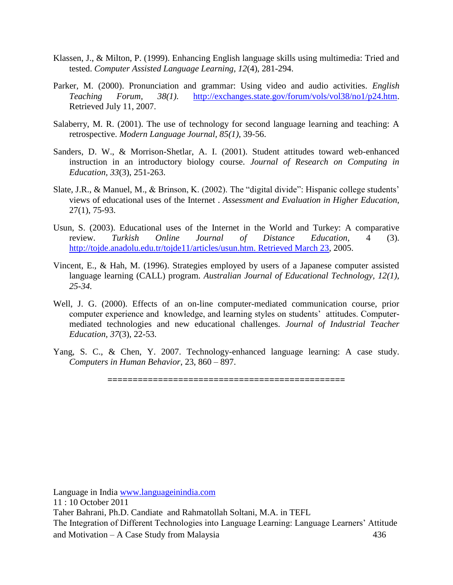- Klassen, J., & Milton, P. (1999). Enhancing English language skills using multimedia: Tried and tested. *Computer Assisted Language Learning, 12*(4), 281-294.
- Parker, M. (2000). Pronunciation and grammar: Using video and audio activities. *English Teaching Forum, 38(1).* [http://exchanges.state.gov/forum/vols/vol38/no1/p24.htm.](http://exchanges.state.gov/forum/vols/vol38/no1/p24.htm) Retrieved July 11, 2007.
- Salaberry, M. R. (2001). The use of technology for second language learning and teaching: A retrospective. *Modern Language Journal, 85(1),* 39-56.
- Sanders, D. W., & Morrison-Shetlar, A. I. (2001). Student attitudes toward web-enhanced instruction in an introductory biology course. *Journal of Research on Computing in Education, 33*(3), 251-263.
- Slate, J.R., & Manuel, M., & Brinson, K. (2002). The "digital divide": Hispanic college students' views of educational uses of the Internet . *Assessment and Evaluation in Higher Education*, 27(1), 75-93.
- Usun, S. (2003). Educational uses of the Internet in the World and Turkey: A comparative review. *Turkish Online Journal of Distance Education,* 4 (3). [http://tojde.anadolu.edu.tr/tojde11/articles/usun.htm. Retrieved March 23,](http://tojde.anadolu.edu.tr/tojde11/articles/usun.htm.%20Retrieved%20March%2023) 2005.
- Vincent, E., & Hah, M. (1996). Strategies employed by users of a Japanese computer assisted language learning (CALL) program. *Australian Journal of Educational Technology, 12(1), 25-34.*
- Well, J. G. (2000). Effects of an on-line computer-mediated communication course, prior computer experience and knowledge, and learning styles on students' attitudes. Computermediated technologies and new educational challenges. *Journal of Industrial Teacher Education, 37*(3), 22-53.
- Yang, S. C., & Chen, Y. 2007. Technology-enhanced language learning: A case study. *Computers in Human Behavior*, 23, 860 – 897.

**===============================================**

Language in India [www.languageinindia.com](http://www.languageinindia.com/)

11 : 10 October 2011

Taher Bahrani, Ph.D. Candiate and Rahmatollah Soltani, M.A. in TEFL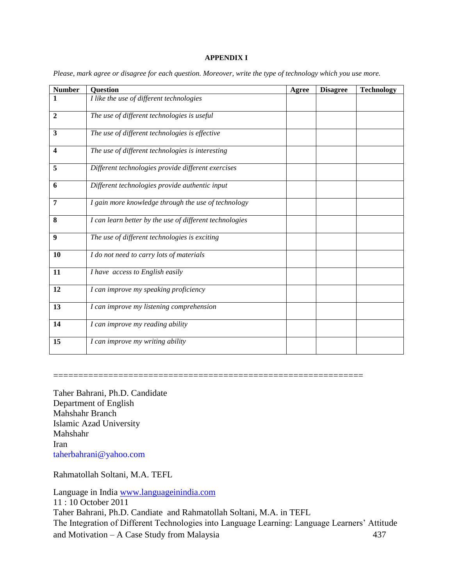#### **APPENDIX I**

| <b>Number</b>  | <b>Question</b>                                         | Agree | <b>Disagree</b> | <b>Technology</b> |
|----------------|---------------------------------------------------------|-------|-----------------|-------------------|
| 1              | I like the use of different technologies                |       |                 |                   |
| $\overline{2}$ | The use of different technologies is useful             |       |                 |                   |
| 3              | The use of different technologies is effective          |       |                 |                   |
| 4              | The use of different technologies is interesting        |       |                 |                   |
| 5              | Different technologies provide different exercises      |       |                 |                   |
| 6              | Different technologies provide authentic input          |       |                 |                   |
| 7              | I gain more knowledge through the use of technology     |       |                 |                   |
| 8              | I can learn better by the use of different technologies |       |                 |                   |
| 9              | The use of different technologies is exciting           |       |                 |                   |
| <b>10</b>      | I do not need to carry lots of materials                |       |                 |                   |
| 11             | I have access to English easily                         |       |                 |                   |
| 12             | I can improve my speaking proficiency                   |       |                 |                   |
| 13             | I can improve my listening comprehension                |       |                 |                   |
| 14             | I can improve my reading ability                        |       |                 |                   |
| 15             | I can improve my writing ability                        |       |                 |                   |

*Please, mark agree or disagree for each question. Moreover, write the type of technology which you use more.*

Taher Bahrani, Ph.D. Candidate Department of English Mahshahr Branch Islamic Azad University Mahshahr Iran

[taherbahrani@yahoo.com](mailto:taherbahrani@yahoo.com)

Rahmatollah Soltani, M.A. TEFL

Language in India [www.languageinindia.com](http://www.languageinindia.com/) 11 : 10 October 2011 Taher Bahrani, Ph.D. Candiate and Rahmatollah Soltani, M.A. in TEFL The Integration of Different Technologies into Language Learning: Language Learners' Attitude and Motivation – A Case Study from Malaysia 437

==============================================================